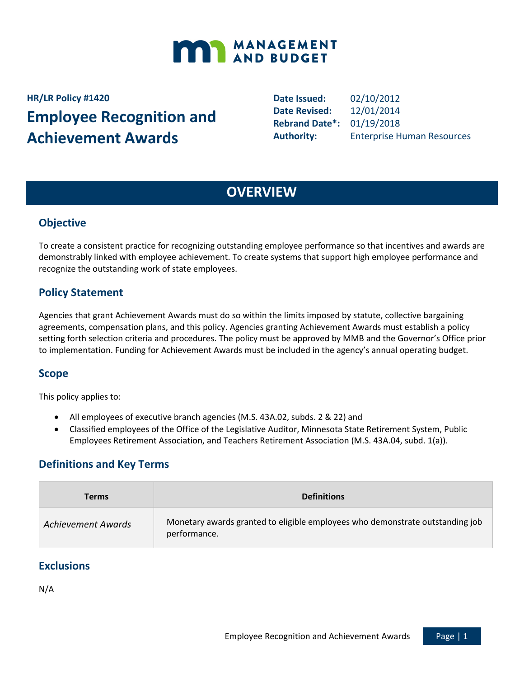

**HR/LR Policy #1420**

# **Employee Recognition and Achievement Awards**

**Date Issued:** 02/10/2012 **Date Revised:** 12/01/2014 **Rebrand Date\*:** 01/19/2018 **Authority:** Enterprise Human Resources

### **OVERVIEW**

### **Objective**

To create a consistent practice for recognizing outstanding employee performance so that incentives and awards are demonstrably linked with employee achievement. To create systems that support high employee performance and recognize the outstanding work of state employees.

### **Policy Statement**

Agencies that grant Achievement Awards must do so within the limits imposed by statute, collective bargaining agreements, compensation plans, and this policy. Agencies granting Achievement Awards must establish a policy setting forth selection criteria and procedures. The policy must be approved by MMB and the Governor's Office prior to implementation. Funding for Achievement Awards must be included in the agency's annual operating budget.

#### **Scope**

This policy applies to:

- All employees of executive branch agencies (M.S. 43A.02, subds. 2 & 22) and
- Classified employees of the Office of the Legislative Auditor, Minnesota State Retirement System, Public Employees Retirement Association, and Teachers Retirement Association (M.S. 43A.04, subd. 1(a)).

### **Definitions and Key Terms**

| Terms                     | <b>Definitions</b>                                                                            |
|---------------------------|-----------------------------------------------------------------------------------------------|
| <b>Achievement Awards</b> | Monetary awards granted to eligible employees who demonstrate outstanding job<br>performance. |

### **Exclusions**

N/A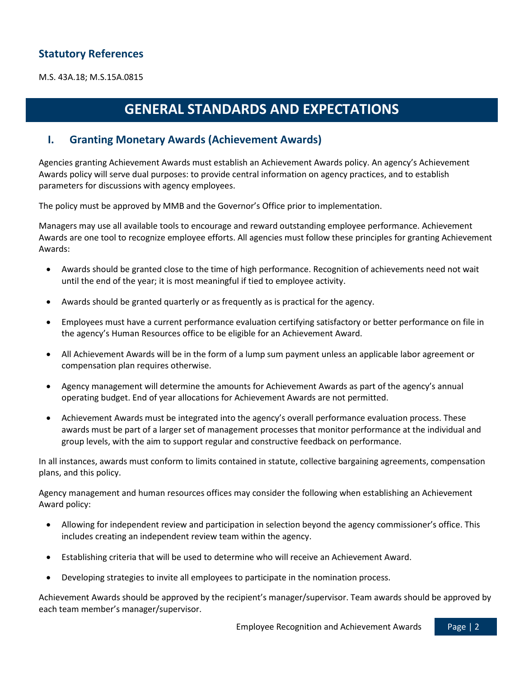### **Statutory References**

M.S. 43A.18; M.S.15A.0815

### **GENERAL STANDARDS AND EXPECTATIONS**

#### **I. Granting Monetary Awards (Achievement Awards)**

Agencies granting Achievement Awards must establish an Achievement Awards policy. An agency's Achievement Awards policy will serve dual purposes: to provide central information on agency practices, and to establish parameters for discussions with agency employees.

The policy must be approved by MMB and the Governor's Office prior to implementation.

Managers may use all available tools to encourage and reward outstanding employee performance. Achievement Awards are one tool to recognize employee efforts. All agencies must follow these principles for granting Achievement Awards:

- Awards should be granted close to the time of high performance. Recognition of achievements need not wait until the end of the year; it is most meaningful if tied to employee activity.
- Awards should be granted quarterly or as frequently as is practical for the agency.
- Employees must have a current performance evaluation certifying satisfactory or better performance on file in the agency's Human Resources office to be eligible for an Achievement Award.
- All Achievement Awards will be in the form of a lump sum payment unless an applicable labor agreement or compensation plan requires otherwise.
- Agency management will determine the amounts for Achievement Awards as part of the agency's annual operating budget. End of year allocations for Achievement Awards are not permitted.
- Achievement Awards must be integrated into the agency's overall performance evaluation process. These awards must be part of a larger set of management processes that monitor performance at the individual and group levels, with the aim to support regular and constructive feedback on performance.

In all instances, awards must conform to limits contained in statute, collective bargaining agreements, compensation plans, and this policy.

Agency management and human resources offices may consider the following when establishing an Achievement Award policy:

- Allowing for independent review and participation in selection beyond the agency commissioner's office. This includes creating an independent review team within the agency.
- Establishing criteria that will be used to determine who will receive an Achievement Award.
- Developing strategies to invite all employees to participate in the nomination process.

Achievement Awards should be approved by the recipient's manager/supervisor. Team awards should be approved by each team member's manager/supervisor.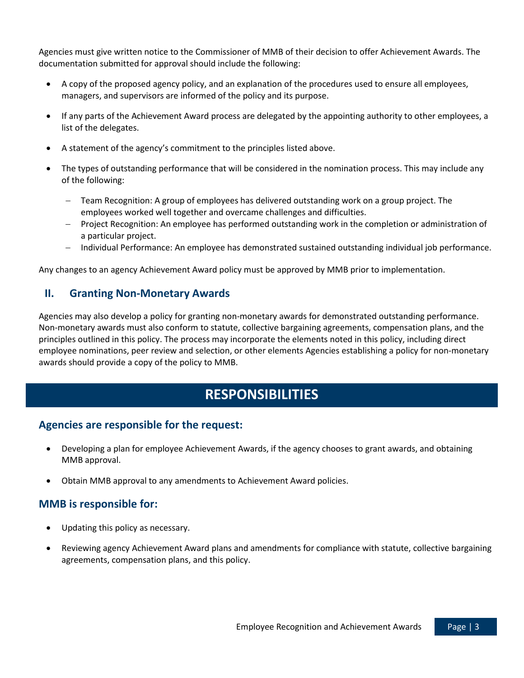Agencies must give written notice to the Commissioner of MMB of their decision to offer Achievement Awards. The documentation submitted for approval should include the following:

- A copy of the proposed agency policy, and an explanation of the procedures used to ensure all employees, managers, and supervisors are informed of the policy and its purpose.
- If any parts of the Achievement Award process are delegated by the appointing authority to other employees, a list of the delegates.
- A statement of the agency's commitment to the principles listed above.
- The types of outstanding performance that will be considered in the nomination process. This may include any of the following:
	- − Team Recognition: A group of employees has delivered outstanding work on a group project. The employees worked well together and overcame challenges and difficulties.
	- − Project Recognition: An employee has performed outstanding work in the completion or administration of a particular project.
	- − Individual Performance: An employee has demonstrated sustained outstanding individual job performance.

Any changes to an agency Achievement Award policy must be approved by MMB prior to implementation.

### **II. Granting Non-Monetary Awards**

Agencies may also develop a policy for granting non-monetary awards for demonstrated outstanding performance. Non-monetary awards must also conform to statute, collective bargaining agreements, compensation plans, and the principles outlined in this policy. The process may incorporate the elements noted in this policy, including direct employee nominations, peer review and selection, or other elements Agencies establishing a policy for non-monetary awards should provide a copy of the policy to MMB.

### **RESPONSIBILITIES**

#### **Agencies are responsible for the request:**

- Developing a plan for employee Achievement Awards, if the agency chooses to grant awards, and obtaining MMB approval.
- Obtain MMB approval to any amendments to Achievement Award policies.

### **MMB is responsible for:**

- Updating this policy as necessary.
- Reviewing agency Achievement Award plans and amendments for compliance with statute, collective bargaining agreements, compensation plans, and this policy.